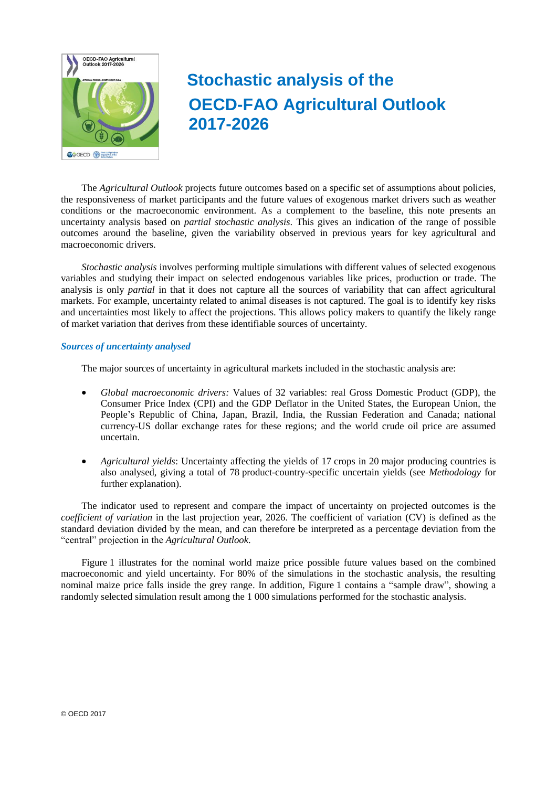

# **Stochastic analysis of the OECD-FAO Agricultural Outlook 2017-2026**

The *Agricultural Outlook* projects future outcomes based on a specific set of assumptions about policies, the responsiveness of market participants and the future values of exogenous market drivers such as weather conditions or the macroeconomic environment. As a complement to the baseline, this note presents an uncertainty analysis based on *partial stochastic analysis*. This gives an indication of the range of possible outcomes around the baseline, given the variability observed in previous years for key agricultural and macroeconomic drivers.

*Stochastic analysis* involves performing multiple simulations with different values of selected exogenous variables and studying their impact on selected endogenous variables like prices, production or trade. The analysis is only *partial* in that it does not capture all the sources of variability that can affect agricultural markets. For example, uncertainty related to animal diseases is not captured. The goal is to identify key risks and uncertainties most likely to affect the projections. This allows policy makers to quantify the likely range of market variation that derives from these identifiable sources of uncertainty.

## *Sources of uncertainty analysed*

The major sources of uncertainty in agricultural markets included in the stochastic analysis are:

- *Global macroeconomic drivers:* Values of 32 variables: real Gross Domestic Product (GDP), the Consumer Price Index (CPI) and the GDP Deflator in the United States, the European Union, the People's Republic of China, Japan, Brazil, India, the Russian Federation and Canada; national currency-US dollar exchange rates for these regions; and the world crude oil price are assumed uncertain.
- *Agricultural yields*: Uncertainty affecting the yields of 17 crops in 20 major producing countries is also analysed, giving a total of 78 product-country-specific uncertain yields (see *Methodology* for further explanation).

The indicator used to represent and compare the impact of uncertainty on projected outcomes is the *coefficient of variation* in the last projection year, 2026. The coefficient of variation (CV) is defined as the standard deviation divided by the mean, and can therefore be interpreted as a percentage deviation from the "central" projection in the *Agricultural Outlook*.

Figure 1 illustrates for the nominal world maize price possible future values based on the combined macroeconomic and yield uncertainty. For 80% of the simulations in the stochastic analysis, the resulting nominal maize price falls inside the grey range. In addition, Figure 1 contains a "sample draw", showing a randomly selected simulation result among the 1 000 simulations performed for the stochastic analysis.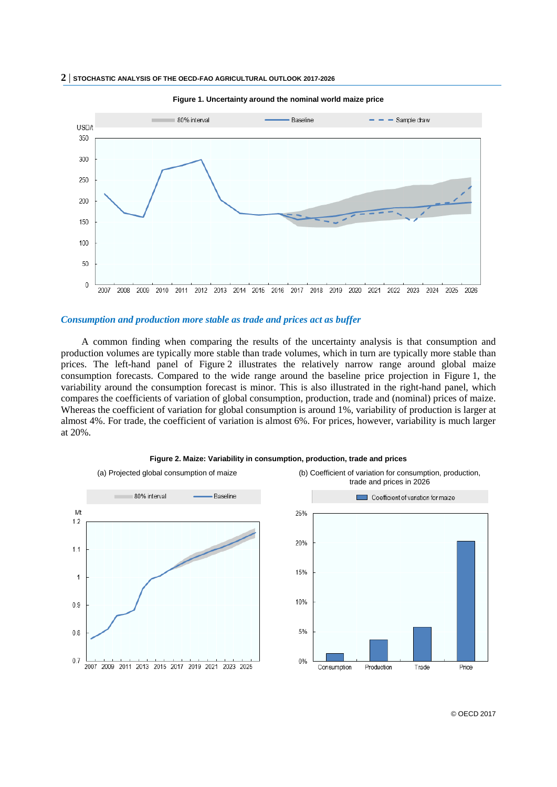

#### **Figure 1. Uncertainty around the nominal world maize price**

## *Consumption and production more stable as trade and prices act as buffer*

A common finding when comparing the results of the uncertainty analysis is that consumption and production volumes are typically more stable than trade volumes, which in turn are typically more stable than prices. The left-hand panel of Figure 2 illustrates the relatively narrow range around global maize consumption forecasts. Compared to the wide range around the baseline price projection in Figure 1, the variability around the consumption forecast is minor. This is also illustrated in the right-hand panel, which compares the coefficients of variation of global consumption, production, trade and (nominal) prices of maize. Whereas the coefficient of variation for global consumption is around 1%, variability of production is larger at almost 4%. For trade, the coefficient of variation is almost 6%. For prices, however, variability is much larger at 20%.



#### **Figure 2. Maize: Variability in consumption, production, trade and prices**

© OECD 2017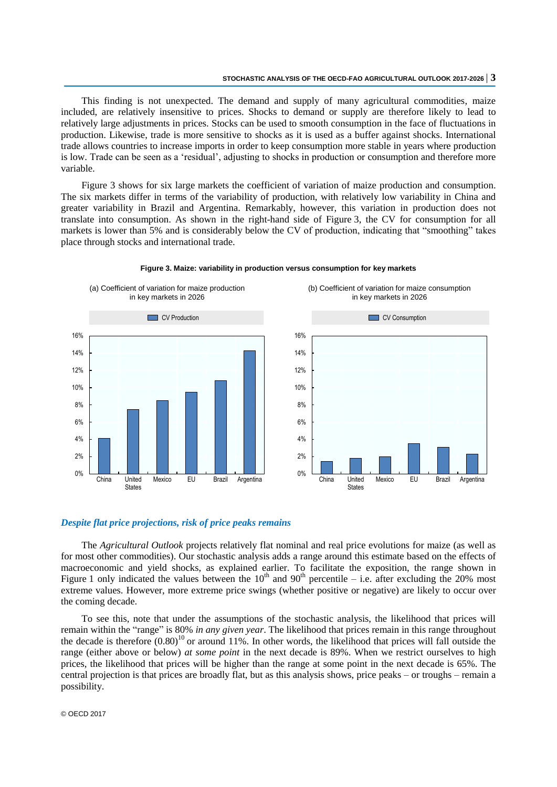This finding is not unexpected. The demand and supply of many agricultural commodities, maize included, are relatively insensitive to prices. Shocks to demand or supply are therefore likely to lead to relatively large adjustments in prices. Stocks can be used to smooth consumption in the face of fluctuations in production. Likewise, trade is more sensitive to shocks as it is used as a buffer against shocks. International trade allows countries to increase imports in order to keep consumption more stable in years where production is low. Trade can be seen as a 'residual', adjusting to shocks in production or consumption and therefore more variable.

Figure 3 shows for six large markets the coefficient of variation of maize production and consumption. The six markets differ in terms of the variability of production, with relatively low variability in China and greater variability in Brazil and Argentina. Remarkably, however, this variation in production does not translate into consumption. As shown in the right-hand side of Figure 3, the CV for consumption for all markets is lower than 5% and is considerably below the CV of production, indicating that "smoothing" takes place through stocks and international trade.



**Figure 3. Maize: variability in production versus consumption for key markets** 

2%  $4%$ 6% 8% 10% 12% 14% 16% CV Consumption

Mexico EU Brazil Argentina

(b) Coefficient of variation for maize consumption in key markets in 2026

## *Despite flat price projections, risk of price peaks remains*

The *Agricultural Outlook* projects relatively flat nominal and real price evolutions for maize (as well as for most other commodities). Our stochastic analysis adds a range around this estimate based on the effects of macroeconomic and yield shocks, as explained earlier. To facilitate the exposition, the range shown in Figure 1 only indicated the values between the  $10<sup>th</sup>$  and  $90<sup>th</sup>$  percentile – i.e. after excluding the 20% most extreme values. However, more extreme price swings (whether positive or negative) are likely to occur over the coming decade.

0%

China United **States** 

To see this, note that under the assumptions of the stochastic analysis, the likelihood that prices will remain within the "range" is 80% *in any given year*. The likelihood that prices remain in this range throughout the decade is therefore  $(0.80)^{10}$  or around 11%. In other words, the likelihood that prices will fall outside the range (either above or below) *at some point* in the next decade is 89%. When we restrict ourselves to high prices, the likelihood that prices will be higher than the range at some point in the next decade is 65%. The central projection is that prices are broadly flat, but as this analysis shows, price peaks – or troughs – remain a possibility.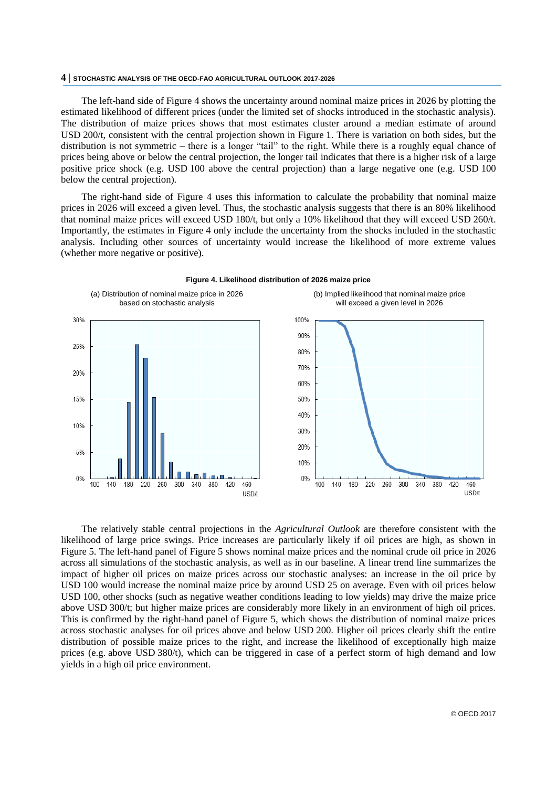The left-hand side of Figure 4 shows the uncertainty around nominal maize prices in 2026 by plotting the estimated likelihood of different prices (under the limited set of shocks introduced in the stochastic analysis). The distribution of maize prices shows that most estimates cluster around a median estimate of around USD 200/t, consistent with the central projection shown in Figure 1. There is variation on both sides, but the distribution is not symmetric – there is a longer "tail" to the right. While there is a roughly equal chance of prices being above or below the central projection, the longer tail indicates that there is a higher risk of a large positive price shock (e.g. USD 100 above the central projection) than a large negative one (e.g. USD 100 below the central projection).

The right-hand side of Figure 4 uses this information to calculate the probability that nominal maize prices in 2026 will exceed a given level. Thus, the stochastic analysis suggests that there is an 80% likelihood that nominal maize prices will exceed USD 180/t, but only a 10% likelihood that they will exceed USD 260/t. Importantly, the estimates in Figure 4 only include the uncertainty from the shocks included in the stochastic analysis. Including other sources of uncertainty would increase the likelihood of more extreme values (whether more negative or positive).



**Figure 4. Likelihood distribution of 2026 maize price**

The relatively stable central projections in the *Agricultural Outlook* are therefore consistent with the likelihood of large price swings. Price increases are particularly likely if oil prices are high, as shown in Figure 5. The left-hand panel of Figure 5 shows nominal maize prices and the nominal crude oil price in 2026 across all simulations of the stochastic analysis, as well as in our baseline. A linear trend line summarizes the impact of higher oil prices on maize prices across our stochastic analyses: an increase in the oil price by USD 100 would increase the nominal maize price by around USD 25 on average. Even with oil prices below USD 100, other shocks (such as negative weather conditions leading to low yields) may drive the maize price above USD 300/t; but higher maize prices are considerably more likely in an environment of high oil prices. This is confirmed by the right-hand panel of Figure 5, which shows the distribution of nominal maize prices across stochastic analyses for oil prices above and below USD 200. Higher oil prices clearly shift the entire distribution of possible maize prices to the right, and increase the likelihood of exceptionally high maize prices (e.g. above USD 380/t), which can be triggered in case of a perfect storm of high demand and low yields in a high oil price environment.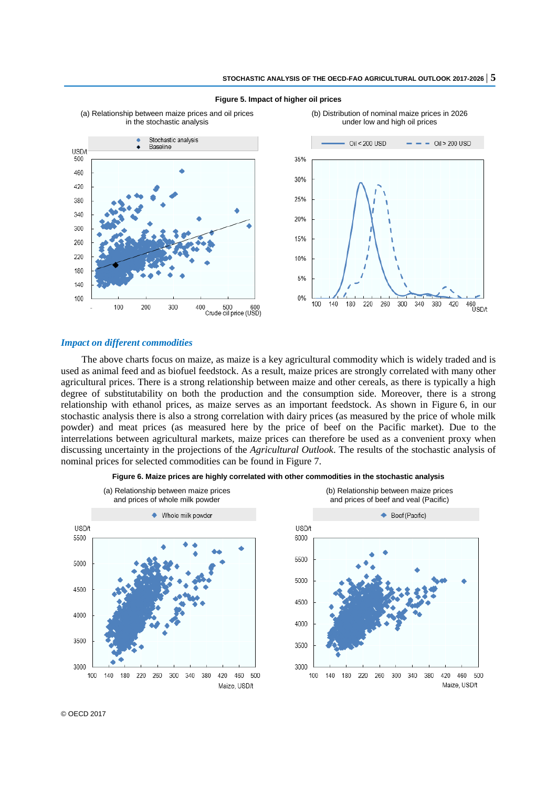

#### **Figure 5. Impact of higher oil prices**

### *Impact on different commodities*

The above charts focus on maize, as maize is a key agricultural commodity which is widely traded and is used as animal feed and as biofuel feedstock. As a result, maize prices are strongly correlated with many other agricultural prices. There is a strong relationship between maize and other cereals, as there is typically a high degree of substitutability on both the production and the consumption side. Moreover, there is a strong relationship with ethanol prices, as maize serves as an important feedstock. As shown in Figure 6, in our stochastic analysis there is also a strong correlation with dairy prices (as measured by the price of whole milk powder) and meat prices (as measured here by the price of beef on the Pacific market). Due to the interrelations between agricultural markets, maize prices can therefore be used as a convenient proxy when discussing uncertainty in the projections of the *Agricultural Outlook*. The results of the stochastic analysis of nominal prices for selected commodities can be found in Figure 7.



**Figure 6. Maize prices are highly correlated with other commodities in the stochastic analysis**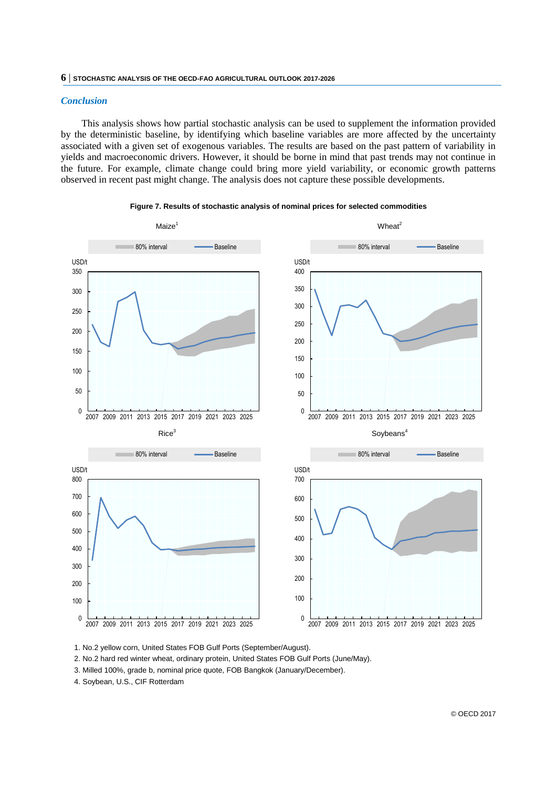## *Conclusion*

This analysis shows how partial stochastic analysis can be used to supplement the information provided by the deterministic baseline, by identifying which baseline variables are more affected by the uncertainty associated with a given set of exogenous variables. The results are based on the past pattern of variability in yields and macroeconomic drivers. However, it should be borne in mind that past trends may not continue in the future. For example, climate change could bring more yield variability, or economic growth patterns observed in recent past might change. The analysis does not capture these possible developments.



#### **Figure 7. Results of stochastic analysis of nominal prices for selected commodities**

1. No.2 yellow corn, United States FOB Gulf Ports (September/August).

2. No.2 hard red winter wheat, ordinary protein, United States FOB Gulf Ports (June/May).

3. Milled 100%, grade b, nominal price quote, FOB Bangkok (January/December).

4. Soybean, U.S., CIF Rotterdam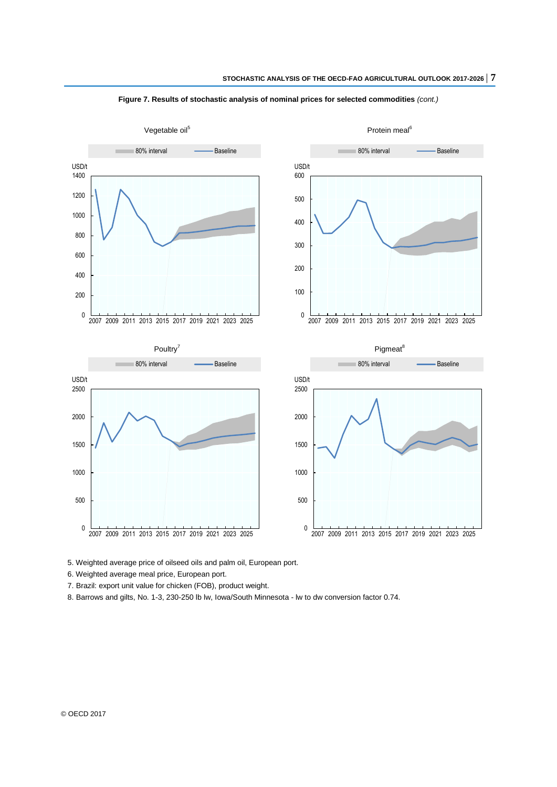![](_page_6_Figure_1.jpeg)

**Figure 7. Results of stochastic analysis of nominal prices for selected commodities** *(cont.)*

5. Weighted average price of oilseed oils and palm oil, European port.

6. Weighted average meal price, European port.

7. Brazil: export unit value for chicken (FOB), product weight.

8. Barrows and gilts, No. 1-3, 230-250 lb lw, Iowa/South Minnesota - lw to dw conversion factor 0.74.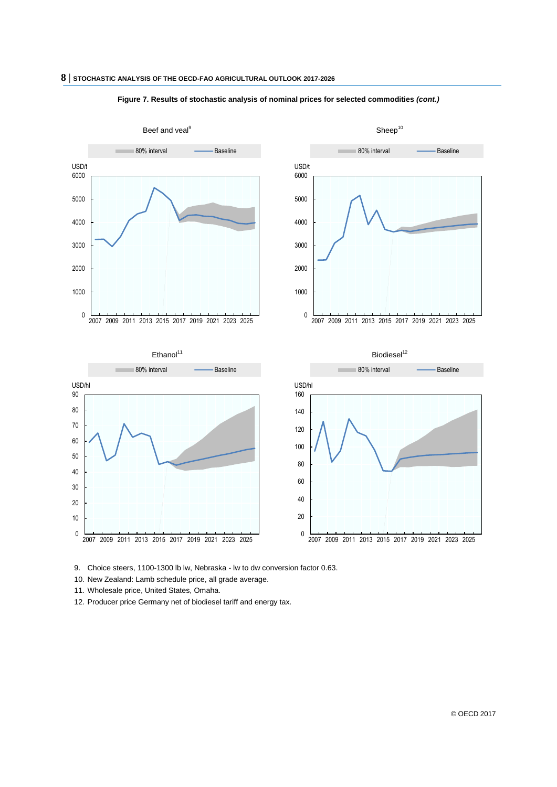![](_page_7_Figure_1.jpeg)

#### **Figure 7. Results of stochastic analysis of nominal prices for selected commodities** *(cont.)*

9. Choice steers, 1100-1300 lb lw, Nebraska - lw to dw conversion factor 0.63.

10. New Zealand: Lamb schedule price, all grade average.

11. Wholesale price, United States, Omaha.

12. Producer price Germany net of biodiesel tariff and energy tax.